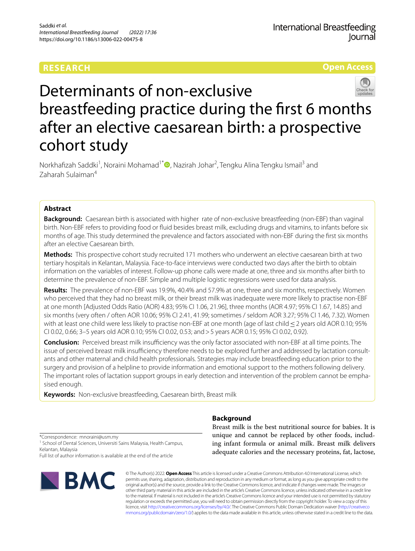## **RESEARCH**

**Open Access**



# Determinants of non-exclusive breastfeeding practice during the frst 6 months after an elective caesarean birth: a prospective cohort study

Norkhafizah Saddki<sup>1</sup>[,](http://orcid.org/0000-0002-1179-3005) Noraini Mohamad<sup>1\*</sup> (D, Nazirah Johar<sup>2</sup>, Tengku Alina Tengku Ismail<sup>3</sup> and Zaharah Sulaiman<sup>4</sup>

## **Abstract**

**Background:** Caesarean birth is associated with higher rate of non-exclusive breastfeeding (non-EBF) than vaginal birth. Non-EBF refers to providing food or fuid besides breast milk, excluding drugs and vitamins, to infants before six months of age. This study determined the prevalence and factors associated with non-EBF during the frst six months after an elective Caesarean birth.

**Methods:** This prospective cohort study recruited 171 mothers who underwent an elective caesarean birth at two tertiary hospitals in Kelantan, Malaysia. Face-to-face interviews were conducted two days after the birth to obtain information on the variables of interest. Follow-up phone calls were made at one, three and six months after birth to determine the prevalence of non-EBF. Simple and multiple logistic regressions were used for data analysis.

**Results:** The prevalence of non-EBF was 19.9%, 40.4% and 57.9% at one, three and six months, respectively. Women who perceived that they had no breast milk, or their breast milk was inadequate were more likely to practise non-EBF at one month [Adjusted Odds Ratio (AOR) 4.83; 95% CI 1.06, 21.96], three months (AOR 4.97; 95% CI 1.67, 14.85) and six months (very often / often AOR 10.06; 95% CI 2.41, 41.99; sometimes / seldom AOR 3.27; 95% CI 1.46, 7.32). Women with at least one child were less likely to practise non-EBF at one month (age of last child ≤2 years old AOR 0.10; 95% CI 0.02, 0.66; 3–5 years old AOR 0.10; 95% CI 0.02, 0.53; and>5 years AOR 0.15; 95% CI 0.02, 0.92).

**Conclusion:** Perceived breast milk insufficiency was the only factor associated with non-EBF at all time points. The issue of perceived breast milk insufficiency therefore needs to be explored further and addressed by lactation consultants and other maternal and child health professionals. Strategies may include breastfeeding education prior to the surgery and provision of a helpline to provide information and emotional support to the mothers following delivery. The important roles of lactation support groups in early detection and intervention of the problem cannot be emphasised enough.

**Keywords:** Non-exclusive breastfeeding, Caesarean birth, Breast milk

## **Background**

\*Correspondence: mnoraini@usm.my

<sup>1</sup> School of Dental Sciences, Universiti Sains Malaysia, Health Campus, Kelantan, Malaysia

Full list of author information is available at the end of the article



Breast milk is the best nutritional source for babies. It is unique and cannot be replaced by other foods, including infant formula or animal milk. Breast milk delivers adequate calories and the necessary proteins, fat, lactose,

© The Author(s) 2022. **Open Access** This article is licensed under a Creative Commons Attribution 4.0 International License, which permits use, sharing, adaptation, distribution and reproduction in any medium or format, as long as you give appropriate credit to the original author(s) and the source, provide a link to the Creative Commons licence, and indicate if changes were made. The images or other third party material in this article are included in the article's Creative Commons licence, unless indicated otherwise in a credit line to the material. If material is not included in the article's Creative Commons licence and your intended use is not permitted by statutory regulation or exceeds the permitted use, you will need to obtain permission directly from the copyright holder. To view a copy of this licence, visit [http://creativecommons.org/licenses/by/4.0/.](http://creativecommons.org/licenses/by/4.0/) The Creative Commons Public Domain Dedication waiver ([http://creativeco](http://creativecommons.org/publicdomain/zero/1.0/) [mmons.org/publicdomain/zero/1.0/](http://creativecommons.org/publicdomain/zero/1.0/)) applies to the data made available in this article, unless otherwise stated in a credit line to the data.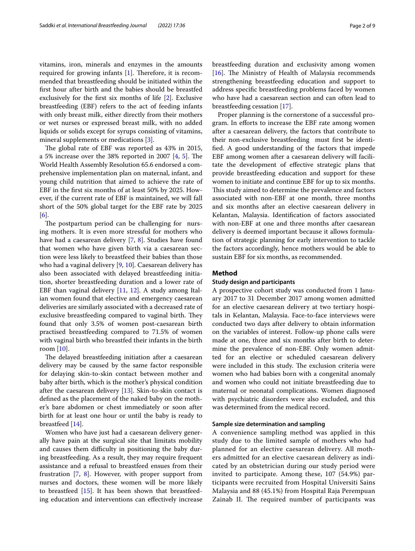vitamins, iron, minerals and enzymes in the amounts required for growing infants  $[1]$  $[1]$ . Therefore, it is recommended that breastfeeding should be initiated within the frst hour after birth and the babies should be breastfed exclusively for the frst six months of life [\[2](#page-7-1)]. Exclusive breastfeeding (EBF) refers to the act of feeding infants with only breast milk, either directly from their mothers or wet nurses or expressed breast milk, with no added liquids or solids except for syrups consisting of vitamins, mineral supplements or medications [\[3](#page-7-2)].

The global rate of EBF was reported as 43% in 2015, a [5](#page-7-4)% increase over the 38% reported in 2007  $[4, 5]$  $[4, 5]$  $[4, 5]$ . The World Health Assembly Resolution 65.6 endorsed a comprehensive implementation plan on maternal, infant, and young child nutrition that aimed to achieve the rate of EBF in the frst six months of at least 50% by 2025. However, if the current rate of EBF is maintained, we will fall short of the 50% global target for the EBF rate by 2025 [[6\]](#page-7-5).

The postpartum period can be challenging for nursing mothers. It is even more stressful for mothers who have had a caesarean delivery [\[7](#page-7-6), [8\]](#page-7-7). Studies have found that women who have given birth via a caesarean section were less likely to breastfeed their babies than those who had a vaginal delivery [\[9](#page-7-8), [10\]](#page-7-9). Caesarean delivery has also been associated with delayed breastfeeding initiation, shorter breastfeeding duration and a lower rate of EBF than vaginal delivery [\[11,](#page-7-10) [12\]](#page-7-11). A study among Italian women found that elective and emergency caesarean deliveries are similarly associated with a decreased rate of exclusive breastfeeding compared to vaginal birth. They found that only 3.5% of women post-caesarean birth practised breastfeeding compared to 71.5% of women with vaginal birth who breastfed their infants in the birth room  $[10]$  $[10]$  $[10]$ .

The delayed breastfeeding initiation after a caesarean delivery may be caused by the same factor responsible for delaying skin-to-skin contact between mother and baby after birth, which is the mother's physical condition after the caesarean delivery [[13](#page-8-0)]. Skin-to-skin contact is defned as the placement of the naked baby on the mother's bare abdomen or chest immediately or soon after birth for at least one hour or until the baby is ready to breastfeed [[14](#page-8-1)].

Women who have just had a caesarean delivery generally have pain at the surgical site that limitats mobility and causes them difficulty in positioning the baby during breastfeeding. As a result, they may require frequent assistance and a refusal to breastfeed ensues from their frustration [\[7](#page-7-6), [8](#page-7-7)]. However, with proper support from nurses and doctors, these women will be more likely to breastfeed [[15](#page-8-2)]. It has been shown that breastfeeding education and interventions can efectively increase breastfeeding duration and exclusivity among women [[16\]](#page-8-3). The Ministry of Health of Malaysia recommends strengthening breastfeeding education and support to address specifc breastfeeding problems faced by women who have had a caesarean section and can often lead to breastfeeding cessation [\[17\]](#page-8-4).

Proper planning is the cornerstone of a successful program. In eforts to increase the EBF rate among women after a caesarean delivery, the factors that contribute to their non-exclusive breastfeeding must frst be identifed. A good understanding of the factors that impede EBF among women after a caesarean delivery will facilitate the development of efective strategic plans that provide breastfeeding education and support for these women to initiate and continue EBF for up to six months. This study aimed to determine the prevalence and factors associated with non-EBF at one month, three months and six months after an elective caesarean delivery in Kelantan, Malaysia. Identifcation of factors associated with non-EBF at one and three months after caesarean delivery is deemed important because it allows formulation of strategic planning for early intervention to tackle the factors accordingly, hence mothers would be able to sustain EBF for six months, as recommended.

## **Method**

## **Study design and participants**

A prospective cohort study was conducted from 1 January 2017 to 31 December 2017 among women admitted for an elective caesarean delivery at two tertiary hospitals in Kelantan, Malaysia. Face-to-face interviews were conducted two days after delivery to obtain information on the variables of interest. Follow-up phone calls were made at one, three and six months after birth to determine the prevalence of non-EBF. Only women admitted for an elective or scheduled caesarean delivery were included in this study. The exclusion criteria were women who had babies born with a congenital anomaly and women who could not initiate breastfeeding due to maternal or neonatal complications. Women diagnosed with psychiatric disorders were also excluded, and this was determined from the medical record.

## **Sample size determination and sampling**

A convenience sampling method was applied in this study due to the limited sample of mothers who had planned for an elective caesarean delivery. All mothers admitted for an elective caesarean delivery as indicated by an obstetrician during our study period were invited to participate. Among these, 107 (54.9%) participants were recruited from Hospital Universiti Sains Malaysia and 88 (45.1%) from Hospital Raja Perempuan Zainab II. The required number of participants was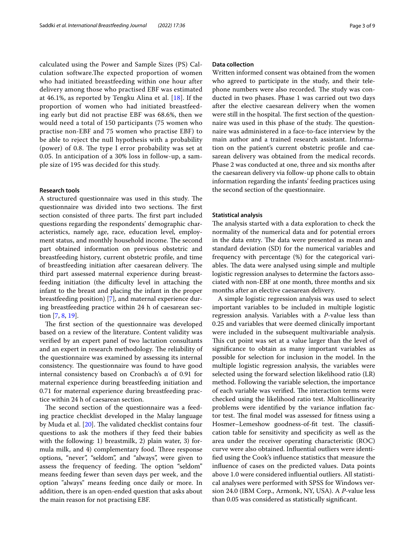calculated using the Power and Sample Sizes (PS) Calculation software. The expected proportion of women who had initiated breastfeeding within one hour after delivery among those who practised EBF was estimated at 46.1%, as reported by Tengku Alina et al. [[18](#page-8-5)]. If the proportion of women who had initiated breastfeeding early but did not practise EBF was 68.6%, then we would need a total of 150 participants (75 women who practise non-EBF and 75 women who practise EBF) to be able to reject the null hypothesis with a probability (power) of 0.8. The type I error probability was set at 0.05. In anticipation of a 30% loss in follow-up, a sample size of 195 was decided for this study.

## **Research tools**

A structured questionnaire was used in this study. The questionnaire was divided into two sections. The first section consisted of three parts. The first part included questions regarding the respondents' demographic characteristics, namely age, race, education level, employment status, and monthly household income. The second part obtained information on previous obstetric and breastfeeding history, current obstetric profle, and time of breastfeeding initiation after caesarean delivery. The third part assessed maternal experience during breastfeeding initiation (the difficulty level in attaching the infant to the breast and placing the infant in the proper breastfeeding position) [[7\]](#page-7-6), and maternal experience during breastfeeding practice within 24 h of caesarean section [[7,](#page-7-6) [8](#page-7-7), [19](#page-8-6)].

The first section of the questionnaire was developed based on a review of the literature. Content validity was verifed by an expert panel of two lactation consultants and an expert in research methodology. The reliability of the questionnaire was examined by assessing its internal consistency. The questionnaire was found to have good internal consistency based on Cronbach's  $\alpha$  of 0.91 for maternal experience during breastfeeding initiation and 0.71 for maternal experience during breastfeeding practice within 24 h of caesarean section.

The second section of the questionnaire was a feeding practice checklist developed in the Malay language by Muda et al. [[20](#page-8-7)]. The validated checklist contains four questions to ask the mothers if they feed their babies with the following: 1) breastmilk, 2) plain water, 3) formula milk, and 4) complementary food. Three response options, "never", "seldom", and "always", were given to assess the frequency of feeding. The option "seldom" means feeding fewer than seven days per week, and the option "always" means feeding once daily or more. In addition, there is an open-ended question that asks about the main reason for not practising EBF.

## **Data collection**

Written informed consent was obtained from the women who agreed to participate in the study, and their telephone numbers were also recorded. The study was conducted in two phases. Phase 1 was carried out two days after the elective caesarean delivery when the women were still in the hospital. The first section of the questionnaire was used in this phase of the study. The questionnaire was administered in a face-to-face interview by the main author and a trained research assistant. Information on the patient's current obstetric profle and caesarean delivery was obtained from the medical records. Phase 2 was conducted at one, three and six months after the caesarean delivery via follow-up phone calls to obtain information regarding the infants' feeding practices using the second section of the questionnaire.

## **Statistical analysis**

The analysis started with a data exploration to check the normality of the numerical data and for potential errors in the data entry. The data were presented as mean and standard deviation (SD) for the numerical variables and frequency with percentage (%) for the categorical variables. The data were analysed using simple and multiple logistic regression analyses to determine the factors associated with non-EBF at one month, three months and six months after an elective caesarean delivery.

A simple logistic regression analysis was used to select important variables to be included in multiple logistic regression analysis. Variables with a *P*-value less than 0.25 and variables that were deemed clinically important were included in the subsequent multivariable analysis. This cut point was set at a value larger than the level of signifcance to obtain as many important variables as possible for selection for inclusion in the model. In the multiple logistic regression analysis, the variables were selected using the forward selection likelihood ratio (LR) method. Following the variable selection, the importance of each variable was verified. The interaction terms were checked using the likelihood ratio test. Multicollinearity problems were identifed by the variance infation factor test. The final model was assessed for fitness using a Hosmer–Lemeshow goodness-of-fit test. The classification table for sensitivity and specifcity as well as the area under the receiver operating characteristic (ROC) curve were also obtained. Infuential outliers were identifed using the Cook's infuence statistics that measure the infuence of cases on the predicted values. Data points above 1.0 were considered infuential outliers. All statistical analyses were performed with SPSS for Windows version 24.0 (IBM Corp., Armonk, NY, USA). A *P*-value less than 0.05 was considered as statistically signifcant.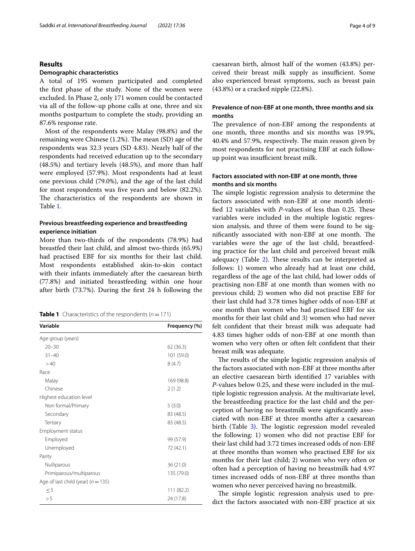## **Results**

## **Demographic characteristics**

A total of 195 women participated and completed the frst phase of the study. None of the women were excluded. In Phase 2, only 171 women could be contacted via all of the follow-up phone calls at one, three and six months postpartum to complete the study, providing an 87.6% response rate.

Most of the respondents were Malay (98.8%) and the remaining were Chinese  $(1.2%)$ . The mean  $(SD)$  age of the respondents was 32.3 years (SD 4.83). Nearly half of the respondents had received education up to the secondary (48.5%) and tertiary levels (48.5%), and more than half were employed (57.9%). Most respondents had at least one previous child (79.0%), and the age of the last child for most respondents was five years and below (82.2%). The characteristics of the respondents are shown in Table [1](#page-3-0).

## **Previous breastfeeding experience and breastfeeding experience initiation**

More than two-thirds of the respondents (78.9%) had breastfed their last child, and almost two-thirds (65.9%) had practised EBF for six months for their last child. Most respondents established skin-to-skin contact with their infants immediately after the caesarean birth (77.8%) and initiated breastfeeding within one hour after birth (73.7%). During the frst 24 h following the

<span id="page-3-0"></span>

| <b>Table 1</b> Characteristics of the respondents ( $n = 171$ ) |
|-----------------------------------------------------------------|
|-----------------------------------------------------------------|

| Variable                               | Frequency (%) |  |
|----------------------------------------|---------------|--|
| Age group (years)                      |               |  |
| $20 - 30$                              | 62 (36.3)     |  |
| $31 - 40$                              | 101 (59.0)    |  |
| >40                                    | 8(4.7)        |  |
| Race                                   |               |  |
| Malay                                  | 169 (98.8)    |  |
| Chinese                                | 2(1.2)        |  |
| Highest education level                |               |  |
| Non formal/Primary                     | 5(3.0)        |  |
| Secondary                              | 83 (48.5)     |  |
| Tertiary                               | 83 (48.5)     |  |
| Employment status                      |               |  |
| Employed                               | 99 (57.9)     |  |
| Unemployed                             | 72 (42.1)     |  |
| Parity                                 |               |  |
| Nulliparous                            | 36 (21.0)     |  |
| Primiparous/multiparous                | 135 (79.0)    |  |
| Age of last child (year) ( $n = 135$ ) |               |  |
| $\leq$ 5                               | 111 (82.2)    |  |
| > 5                                    | 24 (17.8)     |  |
|                                        |               |  |

caesarean birth, almost half of the women (43.8%) perceived their breast milk supply as insufficient. Some also experienced breast symptoms, such as breast pain (43.8%) or a cracked nipple (22.8%).

## **Prevalence of non‑EBF at one month, three months and six months**

The prevalence of non-EBF among the respondents at one month, three months and six months was 19.9%, 40.4% and 57.9%, respectively. The main reason given by most respondents for not practising EBF at each followup point was insufficient breast milk.

## **Factors associated with non‑EBF at one month, three months and six months**

The simple logistic regression analysis to determine the factors associated with non-EBF at one month identified 12 variables with *P*-values of less than 0.25. These variables were included in the multiple logistic regression analysis, and three of them were found to be significantly associated with non-EBF at one month. The variables were the age of the last child, breastfeeding practice for the last child and perceived breast milk adequacy (Table [2](#page-4-0)). These results can be interpreted as follows: 1) women who already had at least one child, regardless of the age of the last child, had lower odds of practising non-EBF at one month than women with no previous child; 2) women who did not practise EBF for their last child had 3.78 times higher odds of non-EBF at one month than women who had practised EBF for six months for their last child and 3) women who had never felt confdent that their breast milk was adequate had 4.83 times higher odds of non-EBF at one month than women who very often or often felt confdent that their breast milk was adequate.

The results of the simple logistic regression analysis of the factors associated with non-EBF at three months after an elective caesarean birth identifed 17 variables with *P*-values below 0.25, and these were included in the multiple logistic regression analysis. At the multivariate level, the breastfeeding practice for the last child and the perception of having no breastmilk were signifcantly associated with non-EBF at three months after a caesarean birth (Table [3](#page-4-1)). The logistic regression model revealed the following: 1) women who did not practise EBF for their last child had 3.72 times increased odds of non-EBF at three months than women who practised EBF for six months for their last child; 2) women who very often or often had a perception of having no breastmilk had 4.97 times increased odds of non-EBF at three months than women who never perceived having no breastmilk.

The simple logistic regression analysis used to predict the factors associated with non-EBF practice at six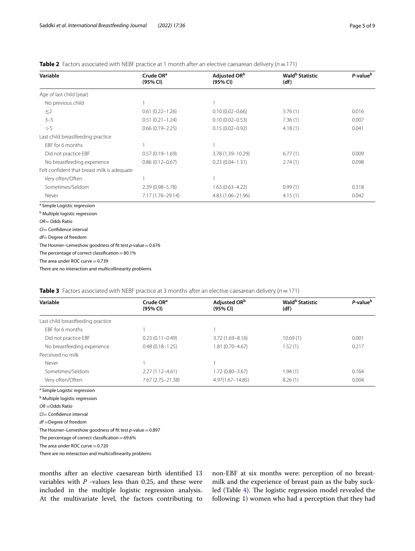<span id="page-4-0"></span>

| <b>Table 2</b> Factors associated with NEBF practice at 1 month after an elective caesarean delivery ( $n = 171$ ) |  |  |
|--------------------------------------------------------------------------------------------------------------------|--|--|
|--------------------------------------------------------------------------------------------------------------------|--|--|

| Variable                                    | Crude OR <sup>a</sup><br>(95% CI) | Adjusted ORb<br>(95% CI) | Wald <sup>b</sup> Statistic<br>(df) | P-value <sup>b</sup> |
|---------------------------------------------|-----------------------------------|--------------------------|-------------------------------------|----------------------|
| Age of last child (year)                    |                                   |                          |                                     |                      |
| No previous child                           |                                   |                          |                                     |                      |
| $\leq$ 2                                    | $0.61(0.22 - 1.26)$               | $0.10(0.02 - 0.66)$      | 5.76(1)                             | 0.016                |
| $3 - 5$                                     | $0.51(0.21 - 1.24)$               | $0.10(0.02 - 0.53)$      | 7.36(1)                             | 0.007                |
| >5                                          | $0.66(0.19 - 2.25)$               | $0.15(0.02 - 0.92)$      | 4.18(1)                             | 0.041                |
| Last child breastfeeding practice           |                                   |                          |                                     |                      |
| EBF for 6 months                            |                                   |                          |                                     |                      |
| Did not practice EBF                        | $0.57(0.19 - 1.69)$               | 3.78 (1.39-10.29)        | 6.77(1)                             | 0.009                |
| No breastfeeding experience                 | $0.86(0.12 - 0.67)$               | $0.23(0.04 - 1.31)$      | 2.74(1)                             | 0.098                |
| Felt confident that breast milk is adequate |                                   |                          |                                     |                      |
| Very often/Often                            |                                   |                          |                                     |                      |
| Sometimes/Seldom                            | 2.39 (0.98-5.78)                  | $1.63(0.63 - 4.22)$      | 0.99(1)                             | 0.318                |
| Never                                       | 7.17 (1.76-29.14)                 | 4.83 (1.06-21.96)        | 4.15(1)                             | 0.042                |
| <sup>a</sup> Simple Logistic regression     |                                   |                          |                                     |                      |

<sup>b</sup> Multiple logistic regression

*CI*= Confdence interval

*df*= Degree of freedom

The Hosmer–Lemeshow goodness of ft test *p*-value=0.676

The percentage of correct classification =  $80.1\%$ 

The area under ROC curve $=$  0.739

There are no interaction and multicollinearity problems

<span id="page-4-1"></span>

|  |  | <b>Table 3</b> Factors associated with NEBF practice at 3 months after an elective caesarean delivery ( $n = 171$ ) |  |
|--|--|---------------------------------------------------------------------------------------------------------------------|--|
|  |  |                                                                                                                     |  |

| Variable                          | Crude OR <sup>a</sup><br>(95% CI) | Adjusted OR <sup>b</sup><br>(95% CI) | Wald <sup>b</sup> Statistic<br>(df) | P-value <sup>b</sup> |
|-----------------------------------|-----------------------------------|--------------------------------------|-------------------------------------|----------------------|
| Last child breastfeeding practice |                                   |                                      |                                     |                      |
| FBF for 6 months                  |                                   |                                      |                                     |                      |
| Did not practice EBF              | $0.23(0.11 - 0.49)$               | $3.72(1.69 - 8.16)$                  | 10.69(1)                            | 0.001                |
| No breastfeeding experience       | $0.48(0.18 - 1.25)$               | $1.81(0.70 - 4.67)$                  | 1.52(1)                             | 0.217                |
| Perceived no milk                 |                                   |                                      |                                     |                      |
| Never                             |                                   |                                      |                                     |                      |
| Sometimes/Seldom                  | $2.27(1.12 - 4.61)$               | $1.72(0.80 - 3.67)$                  | 1.94 (1)                            | 0.164                |
| Very often/Often                  | 7.67 (2.75 - 21.38)               | $4.97(1.67 - 14.85)$                 | 8.26(1)                             | 0.004                |

<sup>a</sup> Simple Logistic regression

<sup>b</sup> Multiple logistic regression

*OR* =Odds Ratio

*CI*= Confdence interval

*df* =Degree of freedom

The Hosmer–Lemeshow goodness of fit test *p*-value = 0.897

The percentage of correct classification  $=69.6\%$ 

The area under ROC curve=0.720

There are no interaction and multicollinearity problems

months after an elective caesarean birth identifed 13 variables with *P* -values less than 0.25, and these were included in the multiple logistic regression analysis. At the multivariate level, the factors contributing to non-EBF at six months were: perception of no breastmilk and the experience of breast pain as the baby suck-led (Table [4](#page-5-0)). The logistic regression model revealed the following: 1) women who had a perception that they had

*OR*= Odds Ratio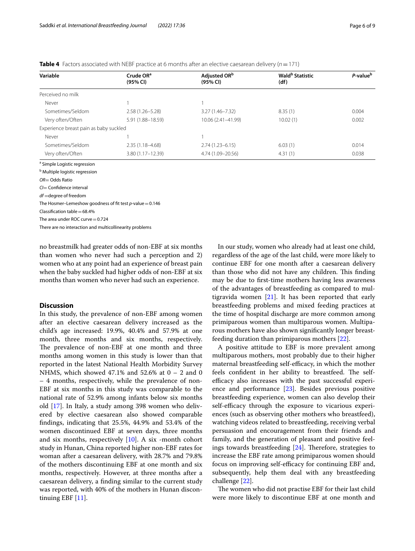<span id="page-5-0"></span>**Table 4** Factors associated with NEBF practice at 6 months after an elective caesarean delivery (*n*=171)

| Variable                               | Crude OR <sup>a</sup><br>(95% CI) | Adjusted OR <sup>b</sup><br>(95% CI) | Wald <sup>b</sup> Statistic<br>(df) | P-value <sup>b</sup> |
|----------------------------------------|-----------------------------------|--------------------------------------|-------------------------------------|----------------------|
| Perceived no milk                      |                                   |                                      |                                     |                      |
| Never                                  |                                   |                                      |                                     |                      |
| Sometimes/Seldom                       | $2.58(1.26 - 5.28)$               | $3.27(1.46 - 7.32)$                  | 8.35(1)                             | 0.004                |
| Very often/Often                       | 5.91 (1.88-18.59)                 | 10.06 (2.41-41.99)                   | 10.02(1)                            | 0.002                |
| Experience breast pain as baby suckled |                                   |                                      |                                     |                      |
| Never                                  |                                   |                                      |                                     |                      |
| Sometimes/Seldom                       | $2.35(1.18 - 4.68)$               | $2.74(1.23 - 6.15)$                  | 6.03(1)                             | 0.014                |
| Very often/Often                       | $3.80(1.17 - 12.39)$              | 4.74 (1.09-20.56)                    | 4.31(1)                             | 0.038                |

<sup>a</sup> Simple Logistic regression

<sup>b</sup> Multiple logistic regression

*OR*= Odds Ratio

*CI*= Confdence interval

*df* =degree of freedom

The Hosmer–Lemeshow goodness of ft test *p*-value=0.146

 $Classification table = 68.4%$ 

The area under ROC curve=0.724

There are no interaction and multicollinearity problems

no breastmilk had greater odds of non-EBF at six months than women who never had such a perception and 2) women who at any point had an experience of breast pain when the baby suckled had higher odds of non-EBF at six months than women who never had such an experience.

## **Discussion**

In this study, the prevalence of non-EBF among women after an elective caesarean delivery increased as the child's age increased: 19.9%, 40.4% and 57.9% at one month, three months and six months, respectively. The prevalence of non-EBF at one month and three months among women in this study is lower than that reported in the latest National Health Morbidity Survey NHMS, which showed 47.1% and 52.6% at  $0 - 2$  and 0 – 4 months, respectively, while the prevalence of non-EBF at six months in this study was comparable to the national rate of 52.9% among infants below six months old [\[17](#page-8-4)]. In Italy, a study among 398 women who delivered by elective caesarean also showed comparable fndings, indicating that 25.5%, 44.9% and 53.4% of the women discontinued EBF at seven days, three months and six months, respectively [[10](#page-7-9)]. A six -month cohort study in Hunan, China reported higher non-EBF rates for woman after a caesarean delivery, with 28.7% and 79.8% of the mothers discontinuing EBF at one month and six months, respectively. However, at three months after a caesarean delivery, a fnding similar to the current study was reported, with 40% of the mothers in Hunan discontinuing EBF [[11](#page-7-10)].

In our study, women who already had at least one child, regardless of the age of the last child, were more likely to continue EBF for one month after a caesarean delivery than those who did not have any children. This finding may be due to frst-time mothers having less awareness of the advantages of breastfeeding as compared to multigravida women  $[21]$  $[21]$ . It has been reported that early breastfeeding problems and mixed feeding practices at the time of hospital discharge are more common among primiparous women than multiparous women. Multiparous mothers have also shown signifcantly longer breastfeeding duration than primiparous mothers [[22](#page-8-9)].

A positive attitude to EBF is more prevalent among multiparous mothers, most probably due to their higher maternal breastfeeding self-efficacy, in which the mother feels confident in her ability to breastfeed. The selfefficacy also increases with the past successful experience and performance [[23\]](#page-8-10). Besides previous positive breastfeeding experience, women can also develop their self-efficacy through the exposure to vicarious experiences (such as observing other mothers who breastfeed), watching videos related to breastfeeding, receiving verbal persuasion and encouragement from their friends and family, and the generation of pleasant and positive feelings towards breastfeeding  $[24]$  $[24]$ . Therefore, strategies to increase the EBF rate among primiparous women should focus on improving self-efficacy for continuing EBF and, subsequently, help them deal with any breastfeeding challenge [[22](#page-8-9)].

The women who did not practise EBF for their last child were more likely to discontinue EBF at one month and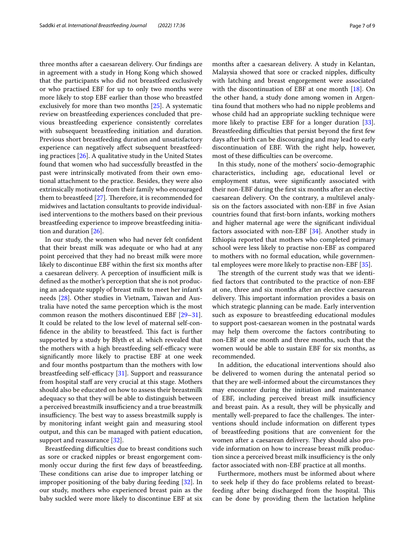three months after a caesarean delivery. Our fndings are in agreement with a study in Hong Kong which showed that the participants who did not breastfeed exclusively or who practised EBF for up to only two months were more likely to stop EBF earlier than those who breastfed exclusively for more than two months [[25](#page-8-12)]. A systematic review on breastfeeding experiences concluded that previous breastfeeding experience consistently correlates with subsequent breastfeeding initiation and duration. Previous short breastfeeding duration and unsatisfactory experience can negatively afect subsequent breastfeeding practices [[26\]](#page-8-13). A qualitative study in the United States found that women who had successfully breastfed in the past were intrinsically motivated from their own emotional attachment to the practice. Besides, they were also extrinsically motivated from their family who encouraged them to breastfeed  $[27]$  $[27]$  $[27]$ . Therefore, it is recommended for midwives and lactation consultants to provide individualised interventions to the mothers based on their previous breastfeeding experience to improve breastfeeding initiation and duration [[26\]](#page-8-13).

In our study, the women who had never felt confdent that their breast milk was adequate or who had at any point perceived that they had no breast milk were more likely to discontinue EBF within the frst six months after a caesarean delivery. A perception of insufficient milk is defned as the mother's perception that she is not producing an adequate supply of breast milk to meet her infant's needs [\[28](#page-8-15)]. Other studies in Vietnam, Taiwan and Australia have noted the same perception which is the most common reason the mothers discontinued EBF [[29](#page-8-16)[–31](#page-8-17)]. It could be related to the low level of maternal self-confidence in the ability to breastfeed. This fact is further supported by a study by Blyth et al. which revealed that the mothers with a high breastfeeding self-efficacy were signifcantly more likely to practise EBF at one week and four months postpartum than the mothers with low breastfeeding self-efficacy  $[31]$  $[31]$ . Support and reassurance from hospital staff are very crucial at this stage. Mothers should also be educated on how to assess their breastmilk adequacy so that they will be able to distinguish between a perceived breastmilk insufficiency and a true breastmilk insufficiency. The best way to assess breastmilk supply is by monitoring infant weight gain and measuring stool output, and this can be managed with patient education, support and reassurance [\[32](#page-8-18)].

Breastfeeding difficulties due to breast conditions such as sore or cracked nipples or breast engorgement commonly occur during the frst few days of breastfeeding**.** These conditions can arise due to improper latching or improper positioning of the baby during feeding [[32](#page-8-18)]. In our study, mothers who experienced breast pain as the baby suckled were more likely to discontinue EBF at six months after a caesarean delivery. A study in Kelantan, Malaysia showed that sore or cracked nipples, difficulty with latching and breast engorgement were associated with the discontinuation of EBF at one month [[18](#page-8-5)]. On the other hand, a study done among women in Argentina found that mothers who had no nipple problems and whose child had an appropriate suckling technique were more likely to practise EBF for a longer duration [\[33](#page-8-19)]. Breastfeeding difficulties that persist beyond the first few days after birth can be discouraging and may lead to early discontinuation of EBF. With the right help, however,

In this study, none of the mothers' socio-demographic characteristics, including age, educational level or employment status, were signifcantly associated with their non-EBF during the frst six months after an elective caesarean delivery. On the contrary, a multilevel analysis on the factors associated with non-EBF in fve Asian countries found that frst-born infants, working mothers and higher maternal age were the signifcant individual factors associated with non-EBF [[34](#page-8-20)]. Another study in Ethiopia reported that mothers who completed primary school were less likely to practise non-EBF as compared to mothers with no formal education, while governmental employees were more likely to practise non-EBF [\[35\]](#page-8-21).

most of these difficulties can be overcome.

The strength of the current study was that we identifed factors that contributed to the practice of non-EBF at one, three and six months after an elective caesarean delivery. This important information provides a basis on which strategic planning can be made. Early intervention such as exposure to breastfeeding educational modules to support post-caesarean women in the postnatal wards may help them overcome the factors contributing to non-EBF at one month and three months, such that the women would be able to sustain EBF for six months, as recommended.

In addition, the educational interventions should also be delivered to women during the antenatal period so that they are well-informed about the circumstances they may encounter during the initiation and maintenance of EBF, including perceived breast milk insufficiency and breast pain. As a result, they will be physically and mentally well-prepared to face the challenges. The interventions should include information on diferent types of breastfeeding positions that are convenient for the women after a caesarean delivery. They should also provide information on how to increase breast milk production since a perceived breast milk insufficiency is the only factor associated with non-EBF practice at all months.

Furthermore, mothers must be informed about where to seek help if they do face problems related to breastfeeding after being discharged from the hospital. This can be done by providing them the lactation helpline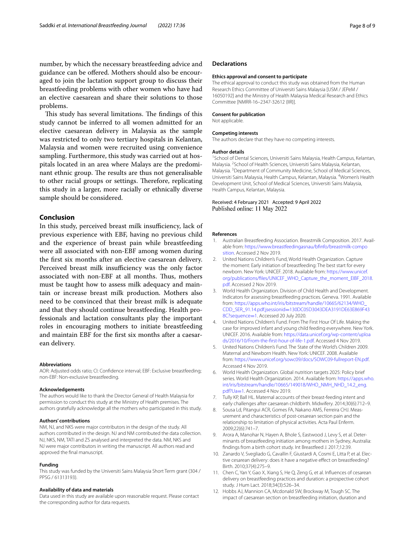number, by which the necessary breastfeeding advice and guidance can be ofered. Mothers should also be encouraged to join the lactation support group to discuss their breastfeeding problems with other women who have had an elective caesarean and share their solutions to those problems.

This study has several limitations. The findings of this study cannot be inferred to all women admitted for an elective caesarean delivery in Malaysia as the sample was restricted to only two tertiary hospitals in Kelantan, Malaysia and women were recruited using convenience sampling. Furthermore, this study was carried out at hospitals located in an area where Malays are the predominant ethnic group. The results are thus not generalisable to other racial groups or settings. Therefore, replicating this study in a larger, more racially or ethnically diverse sample should be considered.

## **Conclusion**

In this study, perceived breast milk insufficiency, lack of previous experience with EBF, having no previous child and the experience of breast pain while breastfeeding were all associated with non-EBF among women during the frst six months after an elective caesarean delivery. Perceived breast milk insufficiency was the only factor associated with non-EBF at all months. Thus, mothers must be taught how to assess milk adequacy and maintain or increase breast milk production. Mothers also need to be convinced that their breast milk is adequate and that they should continue breastfeeding. Health professionals and lactation consultants play the important roles in encouraging mothers to initiate breastfeeding and maintain EBF for the frst six months after a caesarean delivery.

#### **Abbreviations**

AOR: Adjusted odds ratio; CI: Confdence interval; EBF: Exclusive breastfeeding; non-EBF: Non-exclusive breastfeeding.

#### **Acknowledgements**

The authors would like to thank the Director General of Health Malaysia for permission to conduct this study at the Ministry of Health premises. The authors gratefully acknowledge all the mothers who participated in this study.

#### **Authors' contributions**

NM, NJ, and NKS were major contributors in the design of the study. All authors contributed in the design. NJ and NM contributed the data collection. NJ, NKS, NM, TATI and ZS analysed and interpreted the data. NM, NKS and NJ were major contributors in writing the manuscript. All authors read and approved the fnal manuscript.

#### **Funding**

This study was funded by the Universiti Sains Malaysia Short Term grant (304 / PPSG / 61313193).

#### **Availability of data and materials**

Data used in this study are available upon reasonable request. Please contact the corresponding author for data requests.

### **Declarations**

#### **Ethics approval and consent to participate**

The ethical approval to conduct this study was obtained from the Human Research Ethics Committee of Universiti Sains Malaysia [USM / JEPeM / 16050192] and the Ministry of Health Malaysia Medical Research and Ethics Committee [NMRR-16–2347-32612 (IIR)].

#### **Consent for publication**

Not applicable.

#### **Competing interests**

The authors declare that they have no competing interests.

#### **Author details**

<sup>1</sup> School of Dental Sciences, Universiti Sains Malaysia, Health Campus, Kelantan, Malaysia. 2 School of Health Sciences, Universiti Sains Malaysia, Kelantan, Malaysia.<sup>3</sup> Department of Community Medicine, School of Medical Sciences, Universiti Sains Malaysia, Health Campus, Kelantan, Malaysia. <sup>4</sup>Women's Health Development Unit, School of Medical Sciences, Universiti Sains Malaysia, Health Campus, Kelantan, Malaysia.

## Received: 4 February 2021 Accepted: 9 April 2022 Published online: 11 May 2022

#### **References**

- <span id="page-7-0"></span>1. Australian Breastfeeding Association. Breastmilk Composition. 2017. Available from: [https://www.breastfeedingasnau/bfnfo/breastmilk-compo](https://www.breastfeedingasnau/bfinfo/breastmilk-composition) [sition.](https://www.breastfeedingasnau/bfinfo/breastmilk-composition) Accessed 2 Nov 2019.
- <span id="page-7-1"></span>2. United Nations Children's Fund, World Health Organization. Capture the moment: Early initiation of breastfeeding: The best start for every newborn. New York: UNICEF. 2018. Available from: [https://www.unicef.](https://www.unicef.org/publications/files/UNICEF_WHO_Capture_the_moment_EIBF_2018.pdf) [org/publications/fles/UNICEF\\_WHO\\_Capture\\_the\\_moment\\_EIBF\\_2018.](https://www.unicef.org/publications/files/UNICEF_WHO_Capture_the_moment_EIBF_2018.pdf) [pdf.](https://www.unicef.org/publications/files/UNICEF_WHO_Capture_the_moment_EIBF_2018.pdf) Accessed 2 Nov 2019.
- <span id="page-7-2"></span>3. World Health Organization. Division of Child Health and Development. Indicators for assessing breastfeeding practices. Geneva. 1991. Available from: [https://apps.who.int/iris/bitstream/handle/10665/62134/WHO\\_](https://apps.who.int/iris/bitstream/handle/10665/62134/WHO_CDD_SER_91.14.pdf;jsessionid=130DC05D3043DEA3191DE63E869F438C?sequence=1) CDD\_SER\_91.14.pdf;jsessionid=[130DC05D3043DEA3191DE63E869F43](https://apps.who.int/iris/bitstream/handle/10665/62134/WHO_CDD_SER_91.14.pdf;jsessionid=130DC05D3043DEA3191DE63E869F438C?sequence=1) [8C?sequence](https://apps.who.int/iris/bitstream/handle/10665/62134/WHO_CDD_SER_91.14.pdf;jsessionid=130DC05D3043DEA3191DE63E869F438C?sequence=1)=1. Accessed 20 July 2020.
- <span id="page-7-3"></span>4. United Nations Children's Fund. From The First Hour Of Life. Making the case for improved infant and young child feeding everywhere. New York. UNICEF. 2016. Available from: [https://data.unicef.org/wp-content/uploa](https://data.unicef.org/wp-content/uploads/2016/10/From-the-first-hour-of-life-1.pdf) [ds/2016/10/From-the-frst-hour-of-life-1.pdf](https://data.unicef.org/wp-content/uploads/2016/10/From-the-first-hour-of-life-1.pdf). Accessed 4 Nov 2019.
- <span id="page-7-4"></span>5. United Nations Children's Fund. The State of the World's Children 2009. Maternal and Newborn Health. New York: UNICEF. 2008. Available from: <https://www.unicef.org/sowc09/docs/SOWC09-fullreport-EN.pdf>. Accessed 4 Nov 2019.
- <span id="page-7-5"></span>6. World Health Organization. Global nutrition targets 2025: Policy brief series. World Health Organization. 2014. Available from: [https://apps.who.](https://apps.who.int/iris/bitstream/handle/10665/149018/WHO_NMH_NHD_14.2_eng.pdf?Ua=1) [int/iris/bitstream/handle/10665/149018/WHO\\_NMH\\_NHD\\_14.2\\_eng.](https://apps.who.int/iris/bitstream/handle/10665/149018/WHO_NMH_NHD_14.2_eng.pdf?Ua=1) [pdf?Ua](https://apps.who.int/iris/bitstream/handle/10665/149018/WHO_NMH_NHD_14.2_eng.pdf?Ua=1)=1. Accessed 4 Nov 2019.
- <span id="page-7-6"></span>7. Tully KP, Ball HL. Maternal accounts of their breast-feeding intent and early challenges after caesarean childbirth. Midwifery. 2014;30(6):712–9.
- <span id="page-7-7"></span>8. Sousa Ld, Pitangui ACR, Gomes FA, Nakano AMS, Ferreira CHJ. Measurement and characteristics of post-cesarean section pain and the relationship to limitation of physical activities. Acta Paul Enferm. 2009;22(6):741–7.
- <span id="page-7-8"></span>9. Arora A, Manohar N, Hayen A, Bhole S, Eastwood J, Levy S, et al. Determinants of breastfeeding initiation among mothers in Sydney, Australia: fndings from a birth cohort study. Int Breastfeed J. 2017;12:39.
- <span id="page-7-9"></span>10. Zanardo V, Svegliado G, Cavallin F, Giustardi A, Cosmi E, Litta P, et al. Elective cesarean delivery: does it have a negative efect on breastfeeding? Birth. 2010;37(4):275–9.
- <span id="page-7-10"></span>11. Chen C, Yan Y, Gao X, Xiang S, He Q, Zeng G, et al. Infuences of cesarean delivery on breastfeeding practices and duration: a prospective cohort study. J Hum Lact. 2018;34(3):526–34.
- <span id="page-7-11"></span>12. Hobbs AJ, Mannion CA, Mcdonald SW, Brockway M, Tough SC. The impact of caesarean section on breastfeeding initiation, duration and